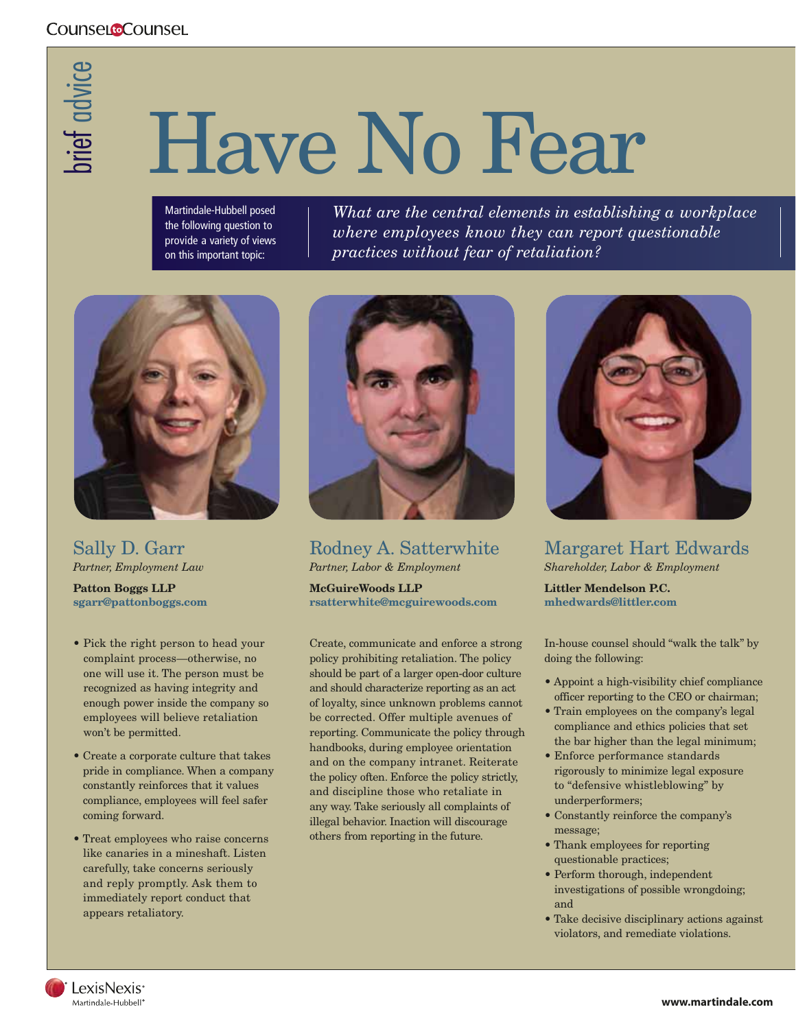## brief advice

## Have No Fear

Martindale-Hubbell posed the following question to provide a variety of views on this important topic:

*What are the central elements in establishing a workplace where employees know they can report questionable practices without fear of retaliation?*



Sally D. Garr *Partner, Employment Law*

**Patton Boggs LLP sgarr@pattonboggs.com**

- Pick the right person to head your complaint process—otherwise, no one will use it. The person must be recognized as having integrity and enough power inside the company so employees will believe retaliation won't be permitted.
- Create a corporate culture that takes pride in compliance. When a company constantly reinforces that it values compliance, employees will feel safer coming forward.
- Treat employees who raise concerns like canaries in a mineshaft. Listen carefully, take concerns seriously and reply promptly. Ask them to immediately report conduct that appears retaliatory.



Rodney A. Satterwhite *Partner, Labor & Employment*

**McGuireWoods LLP rsatterwhite@mcguirewoods.com**

Create, communicate and enforce a strong policy prohibiting retaliation. The policy should be part of a larger open-door culture and should characterize reporting as an act of loyalty, since unknown problems cannot be corrected. Offer multiple avenues of reporting. Communicate the policy through handbooks, during employee orientation and on the company intranet. Reiterate the policy often. Enforce the policy strictly, and discipline those who retaliate in any way. Take seriously all complaints of illegal behavior. Inaction will discourage others from reporting in the future.



Margaret Hart Edwards *Shareholder, Labor & Employment* 

**Littler Mendelson P.C. mhedwards@littler.com** 

In-house counsel should "walk the talk" by doing the following:

- Appoint a high-visibility chief compliance officer reporting to the CEO or chairman;
- Train employees on the company's legal compliance and ethics policies that set the bar higher than the legal minimum;
- Enforce performance standards rigorously to minimize legal exposure to "defensive whistleblowing" by underperformers;
- Constantly reinforce the company's message;
- Thank employees for reporting questionable practices;
- Perform thorough, independent investigations of possible wrongdoing; and
- Take decisive disciplinary actions against violators, and remediate violations.